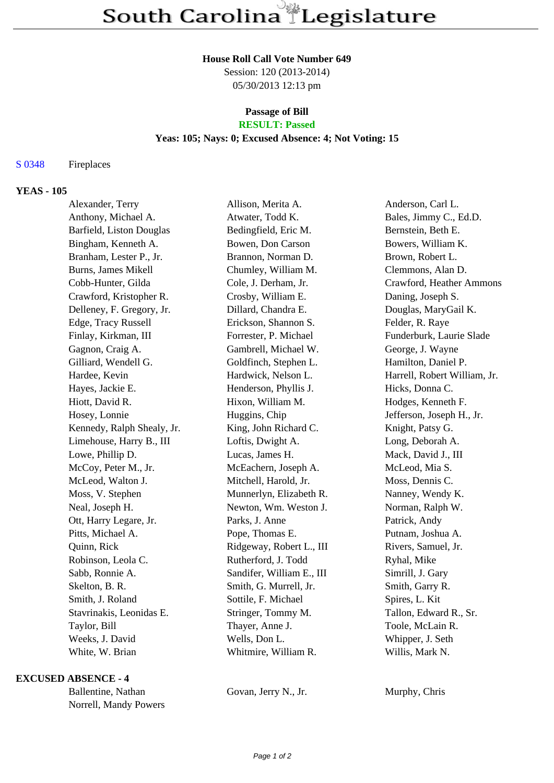#### **House Roll Call Vote Number 649**

Session: 120 (2013-2014) 05/30/2013 12:13 pm

# **Passage of Bill RESULT: Passed**

#### **Yeas: 105; Nays: 0; Excused Absence: 4; Not Voting: 15**

## S 0348 Fireplaces

## **YEAS - 105**

| Alexander, Terry           | Allison, Merita A.        | Anderson, Carl L.            |
|----------------------------|---------------------------|------------------------------|
| Anthony, Michael A.        | Atwater, Todd K.          | Bales, Jimmy C., Ed.D.       |
| Barfield, Liston Douglas   | Bedingfield, Eric M.      | Bernstein, Beth E.           |
| Bingham, Kenneth A.        | Bowen, Don Carson         | Bowers, William K.           |
| Branham, Lester P., Jr.    | Brannon, Norman D.        | Brown, Robert L.             |
| Burns, James Mikell        | Chumley, William M.       | Clemmons, Alan D.            |
| Cobb-Hunter, Gilda         | Cole, J. Derham, Jr.      | Crawford, Heather Ammons     |
| Crawford, Kristopher R.    | Crosby, William E.        | Daning, Joseph S.            |
| Delleney, F. Gregory, Jr.  | Dillard, Chandra E.       | Douglas, MaryGail K.         |
| Edge, Tracy Russell        | Erickson, Shannon S.      | Felder, R. Raye              |
| Finlay, Kirkman, III       | Forrester, P. Michael     | Funderburk, Laurie Slade     |
| Gagnon, Craig A.           | Gambrell, Michael W.      | George, J. Wayne             |
| Gilliard, Wendell G.       | Goldfinch, Stephen L.     | Hamilton, Daniel P.          |
| Hardee, Kevin              | Hardwick, Nelson L.       | Harrell, Robert William, Jr. |
| Hayes, Jackie E.           | Henderson, Phyllis J.     | Hicks, Donna C.              |
| Hiott, David R.            | Hixon, William M.         | Hodges, Kenneth F.           |
| Hosey, Lonnie              | Huggins, Chip             | Jefferson, Joseph H., Jr.    |
| Kennedy, Ralph Shealy, Jr. | King, John Richard C.     | Knight, Patsy G.             |
| Limehouse, Harry B., III   | Loftis, Dwight A.         | Long, Deborah A.             |
| Lowe, Phillip D.           | Lucas, James H.           | Mack, David J., III          |
| McCoy, Peter M., Jr.       | McEachern, Joseph A.      | McLeod, Mia S.               |
| McLeod, Walton J.          | Mitchell, Harold, Jr.     | Moss, Dennis C.              |
| Moss, V. Stephen           | Munnerlyn, Elizabeth R.   | Nanney, Wendy K.             |
| Neal, Joseph H.            | Newton, Wm. Weston J.     | Norman, Ralph W.             |
| Ott, Harry Legare, Jr.     | Parks, J. Anne            | Patrick, Andy                |
| Pitts, Michael A.          | Pope, Thomas E.           | Putnam, Joshua A.            |
| Quinn, Rick                | Ridgeway, Robert L., III  | Rivers, Samuel, Jr.          |
| Robinson, Leola C.         | Rutherford, J. Todd       | Ryhal, Mike                  |
| Sabb, Ronnie A.            | Sandifer, William E., III | Simrill, J. Gary             |
| Skelton, B. R.             | Smith, G. Murrell, Jr.    | Smith, Garry R.              |
| Smith, J. Roland           | Sottile, F. Michael       | Spires, L. Kit               |
| Stavrinakis, Leonidas E.   | Stringer, Tommy M.        | Tallon, Edward R., Sr.       |
| Taylor, Bill               | Thayer, Anne J.           | Toole, McLain R.             |
| Weeks, J. David            | Wells, Don L.             | Whipper, J. Seth             |
| White, W. Brian            | Whitmire, William R.      | Willis, Mark N.              |

#### **EXCUSED ABSENCE - 4**

Ballentine, Nathan Govan, Jerry N., Jr. Murphy, Chris Norrell, Mandy Powers